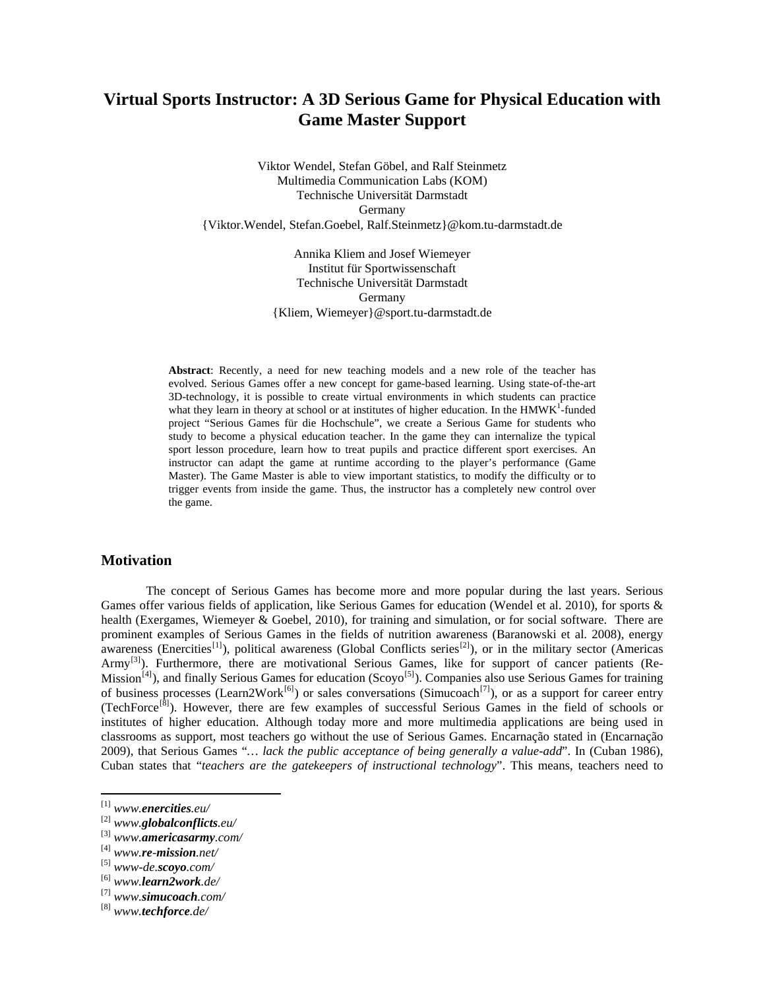# **Virtual Sports Instructor: A 3D Serious Game for Physical Education with Game Master Support**

Viktor Wendel, Stefan Göbel, and Ralf Steinmetz Multimedia Communication Labs (KOM) Technische Universität Darmstadt Germany {Viktor.Wendel, Stefan.Goebel, [Ralf.Steinmetz}@kom.tu-darmstadt.de](mailto:Ralf.Steinmetz%7D@kom.tu-darmstadt.de)

> Annika Kliem and Josef Wiemeyer Institut für Sportwissenschaft Technische Universität Darmstadt Germany {Kliem, Wiemeyer}@sport.tu-darmstadt.de

**Abstract**: Recently, a need for new teaching models and a new role of the teacher has evolved. Serious Games offer a new concept for game-based learning. Using state-of-the-art 3D-technology, it is possible to create virtual environments in which students can practice what they learn in theory at school or at institutes of higher education. In the  $HMWK<sup>1</sup>$ -funded project "Serious Games für die Hochschule", we create a Serious Game for students who study to become a physical education teacher. In the game they can internalize the typical sport lesson procedure, learn how to treat pupils and practice different sport exercises. An instructor can adapt the game at runtime according to the player's performance (Game Master). The Game Master is able to view important statistics, to modify the difficulty or to trigger events from inside the game. Thus, the instructor has a completely new control over the game.

# **Motivation**

The concept of Serious Games has become more and more popular during the last years. Serious Games offer various fields of application, like Serious Games for education (Wendel et al. 2010), for sports & health (Exergames, Wiemeyer & Goebel, 2010), for training and simulation, or for social software. There are prominent examples of Serious Games in the fields of nutrition awareness (Baranowski et al. 2008), energy awareness (Enercities<sup>[\[1\]](#page-0-0)</sup>), political awareness (Global Conflicts series<sup>[\[2\]](#page-0-1)</sup>), or in the military sector (Americas Army<sup>[\[3\]](#page-0-2)</sup>). Furthermore, there are motivational Serious Games, like for support of cancer patients (Re-Mission<sup>[4]</sup>), and finally Serious Games for education (Scoyo<sup>[\[5\]](#page-0-4)</sup>). Companies also use Serious Games for training of business processes (Learn2Work<sup>[\[6\]](#page-0-5)</sup>) or sales conversations (Simucoach<sup>[\[7\]](#page-0-6)</sup>), or as a support for career entry (TechForce[\[8\]](#page-0-7)). However, there are few examples of successful Serious Games in the field of schools or institutes of higher education. Although today more and more multimedia applications are being used in classrooms as support, most teachers go without the use of Serious Games. Encarnação stated in (Encarnação 2009), that Serious Games "*… lack the public acceptance of being generally a value-add*". In (Cuban 1986), Cuban states that "*teachers are the gatekeepers of instructional technology*". This means, teachers need to

 $\overline{a}$ 

<span id="page-0-0"></span><sup>[1]</sup> *www.enercities.eu/*

<span id="page-0-1"></span><sup>[2]</sup> *www.globalconflicts.eu/*

<span id="page-0-2"></span><sup>[3]</sup> *www.americasarmy.com/*

<span id="page-0-3"></span><sup>[4]</sup> *www.re-mission.net/*

<span id="page-0-4"></span><sup>[5]</sup> *www-de.scoyo.com/*

<span id="page-0-5"></span><sup>[6]</sup> *www.learn2work.de/*

<span id="page-0-6"></span><sup>[7]</sup> *www.simucoach.com/*

<span id="page-0-7"></span><sup>[8]</sup> *www.techforce.de/*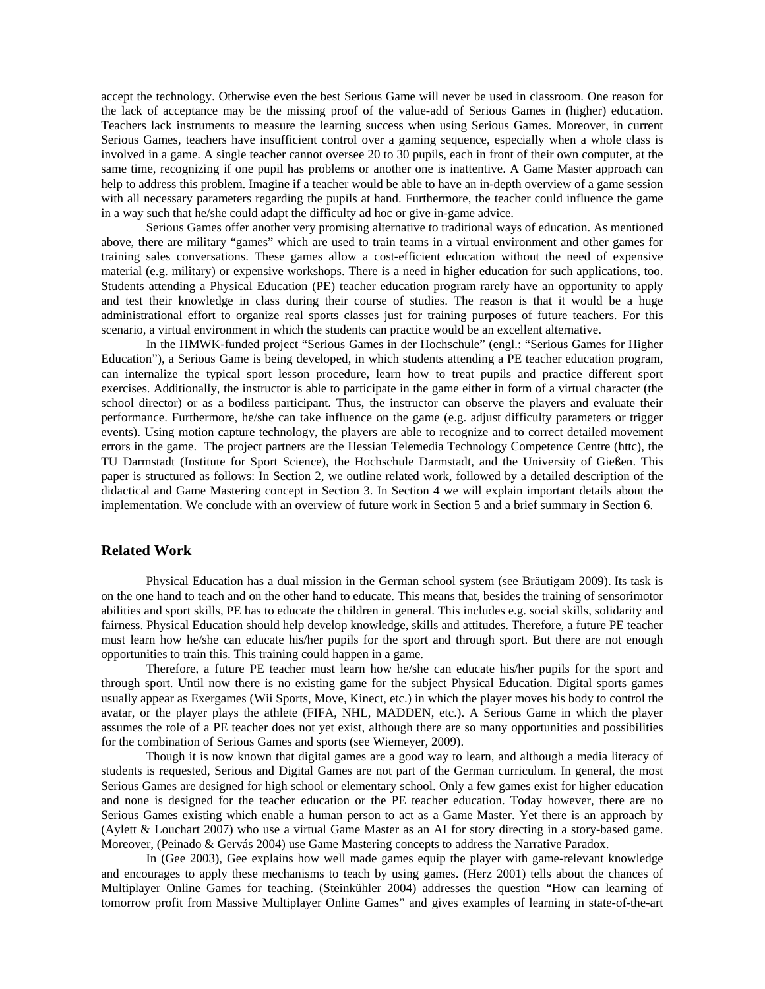accept the technology. Otherwise even the best Serious Game will never be used in classroom. One reason for the lack of acceptance may be the missing proof of the value-add of Serious Games in (higher) education. Teachers lack instruments to measure the learning success when using Serious Games. Moreover, in current Serious Games, teachers have insufficient control over a gaming sequence, especially when a whole class is involved in a game. A single teacher cannot oversee 20 to 30 pupils, each in front of their own computer, at the same time, recognizing if one pupil has problems or another one is inattentive. A Game Master approach can help to address this problem. Imagine if a teacher would be able to have an in-depth overview of a game session with all necessary parameters regarding the pupils at hand. Furthermore, the teacher could influence the game in a way such that he/she could adapt the difficulty ad hoc or give in-game advice.

Serious Games offer another very promising alternative to traditional ways of education. As mentioned above, there are military "games" which are used to train teams in a virtual environment and other games for training sales conversations. These games allow a cost-efficient education without the need of expensive material (e.g. military) or expensive workshops. There is a need in higher education for such applications, too. Students attending a Physical Education (PE) teacher education program rarely have an opportunity to apply and test their knowledge in class during their course of studies. The reason is that it would be a huge administrational effort to organize real sports classes just for training purposes of future teachers. For this scenario, a virtual environment in which the students can practice would be an excellent alternative.

In the HMWK-funded project "Serious Games in der Hochschule" (engl.: "Serious Games for Higher Education"), a Serious Game is being developed, in which students attending a PE teacher education program, can internalize the typical sport lesson procedure, learn how to treat pupils and practice different sport exercises. Additionally, the instructor is able to participate in the game either in form of a virtual character (the school director) or as a bodiless participant. Thus, the instructor can observe the players and evaluate their performance. Furthermore, he/she can take influence on the game (e.g. adjust difficulty parameters or trigger events). Using motion capture technology, the players are able to recognize and to correct detailed movement errors in the game. The project partners are the Hessian Telemedia Technology Competence Centre (httc), the TU Darmstadt (Institute for Sport Science), the Hochschule Darmstadt, and the University of Gießen. This paper is structured as follows: In Section 2, we outline related work, followed by a detailed description of the didactical and Game Mastering concept in Section 3. In Section 4 we will explain important details about the implementation. We conclude with an overview of future work in Section 5 and a brief summary in Section 6.

## **Related Work**

Physical Education has a dual mission in the German school system (see Bräutigam 2009). Its task is on the one hand to teach and on the other hand to educate. This means that, besides the training of sensorimotor abilities and sport skills, PE has to educate the children in general. This includes e.g. social skills, solidarity and fairness. Physical Education should help develop knowledge, skills and attitudes. Therefore, a future PE teacher must learn how he/she can educate his/her pupils for the sport and through sport. But there are not enough opportunities to train this. This training could happen in a game.

Therefore, a future PE teacher must learn how he/she can educate his/her pupils for the sport and through sport. Until now there is no existing game for the subject Physical Education. Digital sports games usually appear as Exergames (Wii Sports, Move, Kinect, etc.) in which the player moves his body to control the avatar, or the player plays the athlete (FIFA, NHL, MADDEN, etc.). A Serious Game in which the player assumes the role of a PE teacher does not yet exist, although there are so many opportunities and possibilities for the combination of Serious Games and sports (see Wiemeyer, 2009).

Though it is now known that digital games are a good way to learn, and although a media literacy of students is requested, Serious and Digital Games are not part of the German curriculum. In general, the most Serious Games are designed for high school or elementary school. Only a few games exist for higher education and none is designed for the teacher education or the PE teacher education. Today however, there are no Serious Games existing which enable a human person to act as a Game Master. Yet there is an approach by (Aylett & Louchart 2007) who use a virtual Game Master as an AI for story directing in a story-based game. Moreover, (Peinado & Gervás 2004) use Game Mastering concepts to address the Narrative Paradox.

In (Gee 2003), Gee explains how well made games equip the player with game-relevant knowledge and encourages to apply these mechanisms to teach by using games. (Herz 2001) tells about the chances of Multiplayer Online Games for teaching. (Steinkühler 2004) addresses the question "How can learning of tomorrow profit from Massive Multiplayer Online Games" and gives examples of learning in state-of-the-art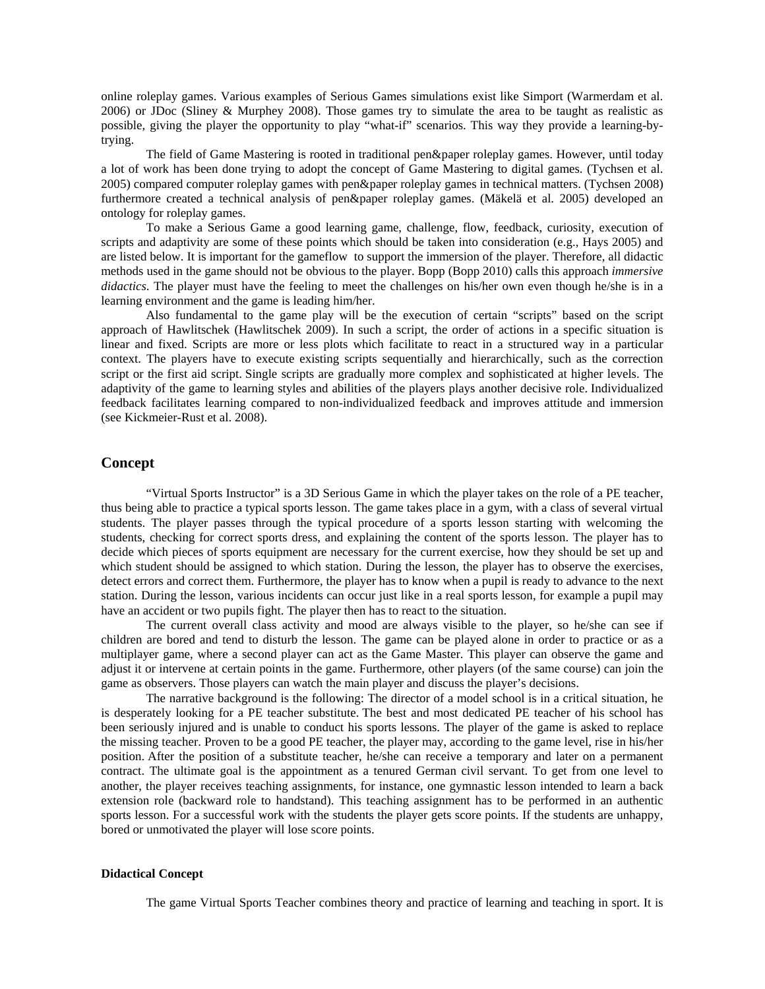online roleplay games. Various examples of Serious Games simulations exist like Simport (Warmerdam et al. 2006) or JDoc (Sliney & Murphey 2008). Those games try to simulate the area to be taught as realistic as possible, giving the player the opportunity to play "what-if" scenarios. This way they provide a learning-bytrying.

The field of Game Mastering is rooted in traditional pen&paper roleplay games. However, until today a lot of work has been done trying to adopt the concept of Game Mastering to digital games. (Tychsen et al. 2005) compared computer roleplay games with pen&paper roleplay games in technical matters. (Tychsen 2008) furthermore created a technical analysis of pen&paper roleplay games. (Mäkelä et al. 2005) developed an ontology for roleplay games.

To make a Serious Game a good learning game, challenge, flow, feedback, curiosity, execution of scripts and adaptivity are some of these points which should be taken into consideration (e.g., Hays 2005) and are listed below. It is important for the gameflow to support the immersion of the player. Therefore, all didactic methods used in the game should not be obvious to the player. Bopp (Bopp 2010) calls this approach *immersive didactics*. The player must have the feeling to meet the challenges on his/her own even though he/she is in a learning environment and the game is leading him/her.

Also fundamental to the game play will be the execution of certain "scripts" based on the script approach of Hawlitschek (Hawlitschek 2009). In such a script, the order of actions in a specific situation is linear and fixed. Scripts are more or less plots which facilitate to react in a structured way in a particular context. The players have to execute existing scripts sequentially and hierarchically, such as the correction script or the first aid script. Single scripts are gradually more complex and sophisticated at higher levels. The adaptivity of the game to learning styles and abilities of the players plays another decisive role. Individualized feedback facilitates learning compared to non-individualized feedback and improves attitude and immersion (see Kickmeier-Rust et al. 2008).

### **Concept**

"Virtual Sports Instructor" is a 3D Serious Game in which the player takes on the role of a PE teacher, thus being able to practice a typical sports lesson. The game takes place in a gym, with a class of several virtual students. The player passes through the typical procedure of a sports lesson starting with welcoming the students, checking for correct sports dress, and explaining the content of the sports lesson. The player has to decide which pieces of sports equipment are necessary for the current exercise, how they should be set up and which student should be assigned to which station. During the lesson, the player has to observe the exercises, detect errors and correct them. Furthermore, the player has to know when a pupil is ready to advance to the next station. During the lesson, various incidents can occur just like in a real sports lesson, for example a pupil may have an accident or two pupils fight. The player then has to react to the situation.

The current overall class activity and mood are always visible to the player, so he/she can see if children are bored and tend to disturb the lesson. The game can be played alone in order to practice or as a multiplayer game, where a second player can act as the Game Master. This player can observe the game and adjust it or intervene at certain points in the game. Furthermore, other players (of the same course) can join the game as observers. Those players can watch the main player and discuss the player's decisions.

The narrative background is the following: The director of a model school is in a critical situation, he is desperately looking for a PE teacher substitute. The best and most dedicated PE teacher of his school has been seriously injured and is unable to conduct his sports lessons. The player of the game is asked to replace the missing teacher. Proven to be a good PE teacher, the player may, according to the game level, rise in his/her position. After the position of a substitute teacher, he/she can receive a temporary and later on a permanent contract. The ultimate goal is the appointment as a tenured German civil servant. To get from one level to another, the player receives teaching assignments, for instance, one gymnastic lesson intended to learn a back extension role (backward role to handstand). This teaching assignment has to be performed in an authentic sports lesson. For a successful work with the students the player gets score points. If the students are unhappy, bored or unmotivated the player will lose score points.

#### **Didactical Concept**

The game Virtual Sports Teacher combines theory and practice of learning and teaching in sport. It is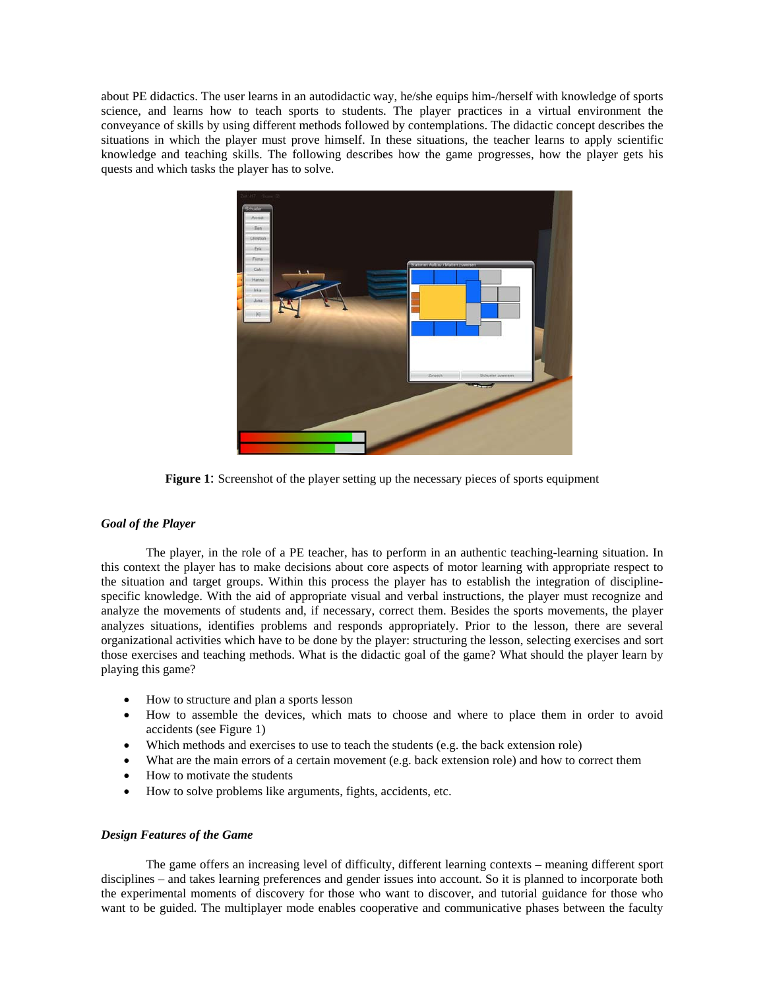about PE didactics. The user learns in an autodidactic way, he/she equips him-/herself with knowledge of sports science, and learns how to teach sports to students. The player practices in a virtual environment the conveyance of skills by using different methods followed by contemplations. The didactic concept describes the situations in which the player must prove himself. In these situations, the teacher learns to apply scientific knowledge and teaching skills. The following describes how the game progresses, how the player gets his quests and which tasks the player has to solve.



**Figure 1**: Screenshot of the player setting up the necessary pieces of sports equipment

## *Goal of the Player*

 The player, in the role of a PE teacher, has to perform in an authentic teaching-learning situation. In this context the player has to make decisions about core aspects of motor learning with appropriate respect to the situation and target groups. Within this process the player has to establish the integration of disciplinespecific knowledge. With the aid of appropriate visual and verbal instructions, the player must recognize and analyze the movements of students and, if necessary, correct them. Besides the sports movements, the player analyzes situations, identifies problems and responds appropriately. Prior to the lesson, there are several organizational activities which have to be done by the player: structuring the lesson, selecting exercises and sort those exercises and teaching methods. What is the didactic goal of the game? What should the player learn by playing this game?

- How to structure and plan a sports lesson
- How to assemble the devices, which mats to choose and where to place them in order to avoid accidents (see Figure 1)
- Which methods and exercises to use to teach the students (e.g. the back extension role)
- What are the main errors of a certain movement (e.g. back extension role) and how to correct them
- How to motivate the students
- How to solve problems like arguments, fights, accidents, etc.

#### *Design Features of the Game*

 The game offers an increasing level of difficulty, different learning contexts – meaning different sport disciplines – and takes learning preferences and gender issues into account. So it is planned to incorporate both the experimental moments of discovery for those who want to discover, and tutorial guidance for those who want to be guided. The multiplayer mode enables cooperative and communicative phases between the faculty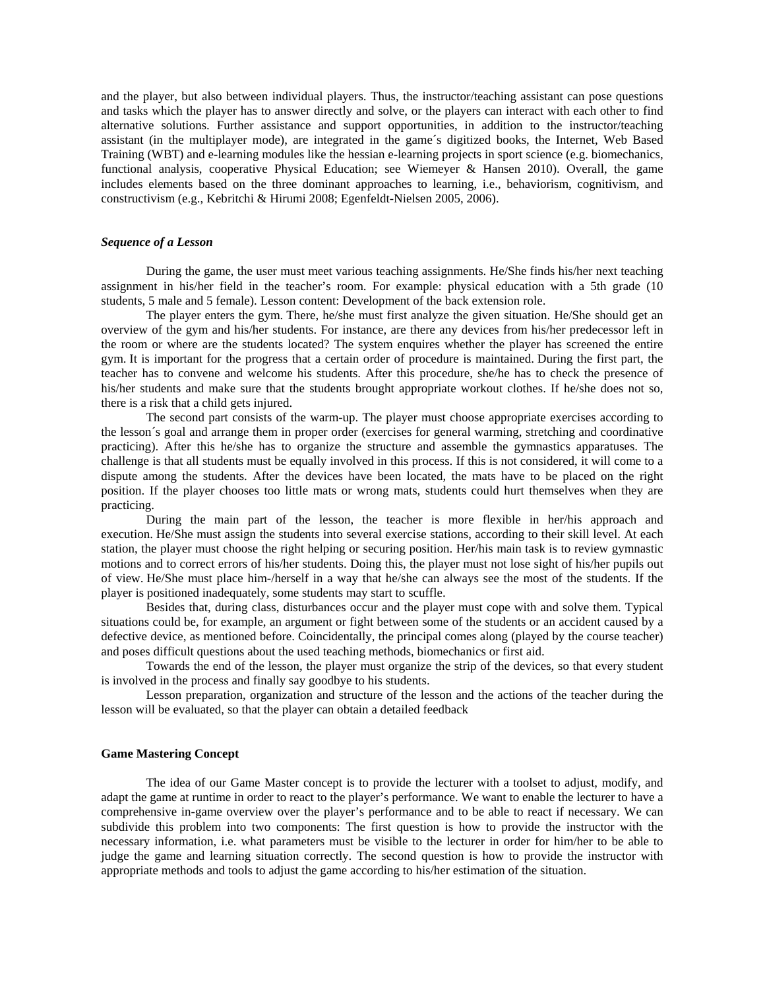and the player, but also between individual players. Thus, the instructor/teaching assistant can pose questions and tasks which the player has to answer directly and solve, or the players can interact with each other to find alternative solutions. Further assistance and support opportunities, in addition to the instructor/teaching assistant (in the multiplayer mode), are integrated in the game´s digitized books, the Internet, Web Based Training (WBT) and e-learning modules like the hessian e-learning projects in sport science (e.g. biomechanics, functional analysis, cooperative Physical Education; see Wiemeyer & Hansen 2010). Overall, the game includes elements based on the three dominant approaches to learning, i.e., behaviorism, cognitivism, and constructivism (e.g., Kebritchi & Hirumi 2008; Egenfeldt-Nielsen 2005, 2006).

#### *Sequence of a Lesson*

 During the game, the user must meet various teaching assignments. He/She finds his/her next teaching assignment in his/her field in the teacher's room. For example: physical education with a 5th grade (10 students, 5 male and 5 female). Lesson content: Development of the back extension role.

The player enters the gym. There, he/she must first analyze the given situation. He/She should get an overview of the gym and his/her students. For instance, are there any devices from his/her predecessor left in the room or where are the students located? The system enquires whether the player has screened the entire gym. It is important for the progress that a certain order of procedure is maintained. During the first part, the teacher has to convene and welcome his students. After this procedure, she/he has to check the presence of his/her students and make sure that the students brought appropriate workout clothes. If he/she does not so, there is a risk that a child gets injured.

The second part consists of the warm-up. The player must choose appropriate exercises according to the lesson´s goal and arrange them in proper order (exercises for general warming, stretching and coordinative practicing). After this he/she has to organize the structure and assemble the gymnastics apparatuses. The challenge is that all students must be equally involved in this process. If this is not considered, it will come to a dispute among the students. After the devices have been located, the mats have to be placed on the right position. If the player chooses too little mats or wrong mats, students could hurt themselves when they are practicing.

During the main part of the lesson, the teacher is more flexible in her/his approach and execution. He/She must assign the students into several exercise stations, according to their skill level. At each station, the player must choose the right helping or securing position. Her/his main task is to review gymnastic motions and to correct errors of his/her students. Doing this, the player must not lose sight of his/her pupils out of view. He/She must place him-/herself in a way that he/she can always see the most of the students. If the player is positioned inadequately, some students may start to scuffle.

Besides that, during class, disturbances occur and the player must cope with and solve them. Typical situations could be, for example, an argument or fight between some of the students or an accident caused by a defective device, as mentioned before. Coincidentally, the principal comes along (played by the course teacher) and poses difficult questions about the used teaching methods, biomechanics or first aid.

Towards the end of the lesson, the player must organize the strip of the devices, so that every student is involved in the process and finally say goodbye to his students.

Lesson preparation, organization and structure of the lesson and the actions of the teacher during the lesson will be evaluated, so that the player can obtain a detailed feedback

#### **Game Mastering Concept**

 The idea of our Game Master concept is to provide the lecturer with a toolset to adjust, modify, and adapt the game at runtime in order to react to the player's performance. We want to enable the lecturer to have a comprehensive in-game overview over the player's performance and to be able to react if necessary. We can subdivide this problem into two components: The first question is how to provide the instructor with the necessary information, i.e. what parameters must be visible to the lecturer in order for him/her to be able to judge the game and learning situation correctly. The second question is how to provide the instructor with appropriate methods and tools to adjust the game according to his/her estimation of the situation.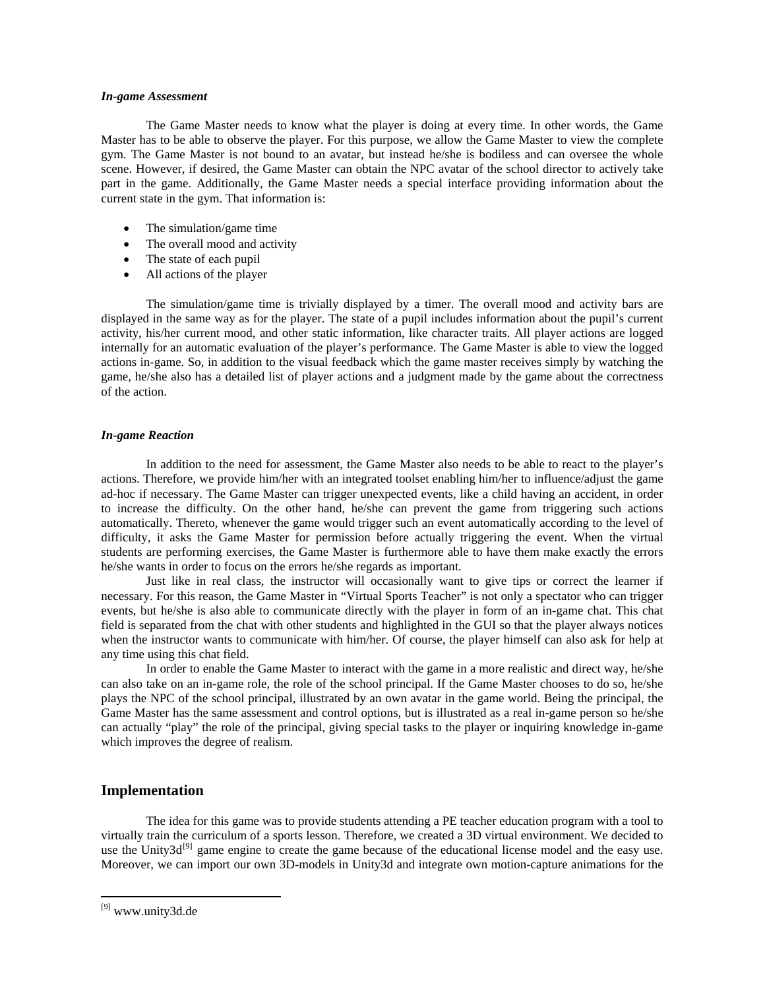#### *In-game Assessment*

The Game Master needs to know what the player is doing at every time. In other words, the Game Master has to be able to observe the player. For this purpose, we allow the Game Master to view the complete gym. The Game Master is not bound to an avatar, but instead he/she is bodiless and can oversee the whole scene. However, if desired, the Game Master can obtain the NPC avatar of the school director to actively take part in the game. Additionally, the Game Master needs a special interface providing information about the current state in the gym. That information is:

- The simulation/game time
- The overall mood and activity
- The state of each pupil
- All actions of the player

The simulation/game time is trivially displayed by a timer. The overall mood and activity bars are displayed in the same way as for the player. The state of a pupil includes information about the pupil's current activity, his/her current mood, and other static information, like character traits. All player actions are logged internally for an automatic evaluation of the player's performance. The Game Master is able to view the logged actions in-game. So, in addition to the visual feedback which the game master receives simply by watching the game, he/she also has a detailed list of player actions and a judgment made by the game about the correctness of the action.

#### *In-game Reaction*

In addition to the need for assessment, the Game Master also needs to be able to react to the player's actions. Therefore, we provide him/her with an integrated toolset enabling him/her to influence/adjust the game ad-hoc if necessary. The Game Master can trigger unexpected events, like a child having an accident, in order to increase the difficulty. On the other hand, he/she can prevent the game from triggering such actions automatically. Thereto, whenever the game would trigger such an event automatically according to the level of difficulty, it asks the Game Master for permission before actually triggering the event. When the virtual students are performing exercises, the Game Master is furthermore able to have them make exactly the errors he/she wants in order to focus on the errors he/she regards as important.

Just like in real class, the instructor will occasionally want to give tips or correct the learner if necessary. For this reason, the Game Master in "Virtual Sports Teacher" is not only a spectator who can trigger events, but he/she is also able to communicate directly with the player in form of an in-game chat. This chat field is separated from the chat with other students and highlighted in the GUI so that the player always notices when the instructor wants to communicate with him/her. Of course, the player himself can also ask for help at any time using this chat field.

In order to enable the Game Master to interact with the game in a more realistic and direct way, he/she can also take on an in-game role, the role of the school principal. If the Game Master chooses to do so, he/she plays the NPC of the school principal, illustrated by an own avatar in the game world. Being the principal, the Game Master has the same assessment and control options, but is illustrated as a real in-game person so he/she can actually "play" the role of the principal, giving special tasks to the player or inquiring knowledge in-game which improves the degree of realism.

## **Implementation**

The idea for this game was to provide students attending a PE teacher education program with a tool to virtually train the curriculum of a sports lesson. Therefore, we created a 3D virtual environment. We decided to use the Unity3d<sup>[\[9\]](#page-5-0)</sup> game engine to create the game because of the educational license model and the easy use. Moreover, we can import our own 3D-models in Unity3d and integrate own motion-capture animations for the

 $\overline{a}$ 

<span id="page-5-0"></span><sup>[9]</sup> www.unity3d.de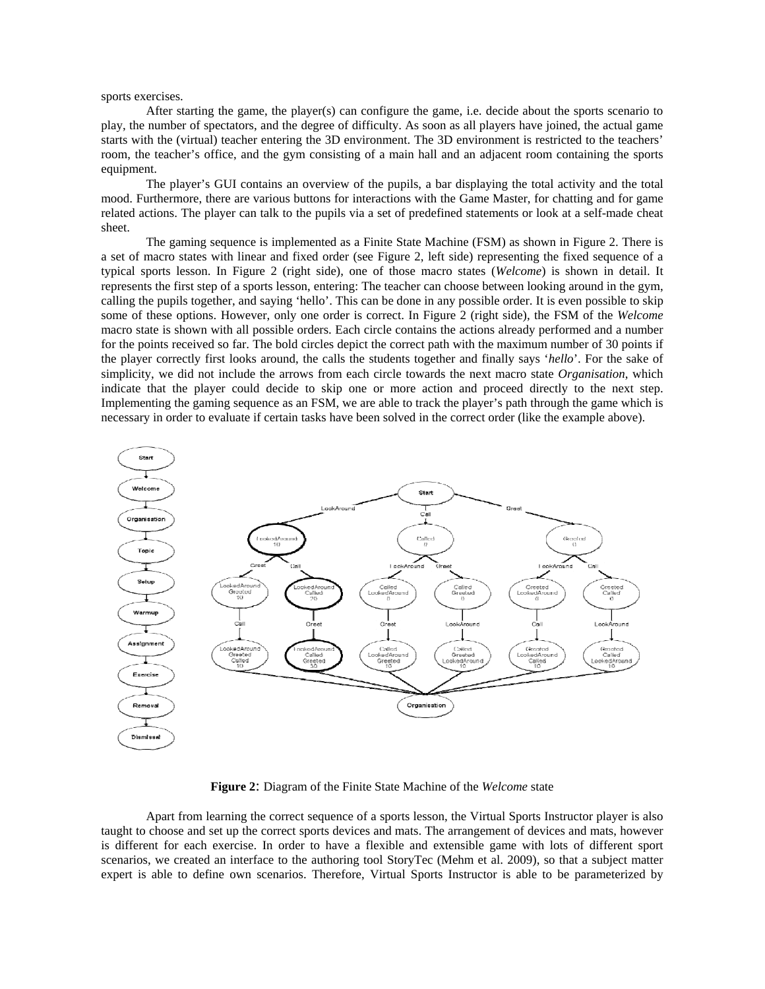sports exercises.

After starting the game, the player(s) can configure the game, i.e. decide about the sports scenario to play, the number of spectators, and the degree of difficulty. As soon as all players have joined, the actual game starts with the (virtual) teacher entering the 3D environment. The 3D environment is restricted to the teachers' room, the teacher's office, and the gym consisting of a main hall and an adjacent room containing the sports equipment.

The player's GUI contains an overview of the pupils, a bar displaying the total activity and the total mood. Furthermore, there are various buttons for interactions with the Game Master, for chatting and for game related actions. The player can talk to the pupils via a set of predefined statements or look at a self-made cheat sheet.

The gaming sequence is implemented as a Finite State Machine (FSM) as shown in Figure 2. There is a set of macro states with linear and fixed order (see Figure 2, left side) representing the fixed sequence of a typical sports lesson. In Figure 2 (right side), one of those macro states (*Welcome*) is shown in detail. It represents the first step of a sports lesson, entering: The teacher can choose between looking around in the gym, calling the pupils together, and saying 'hello'. This can be done in any possible order. It is even possible to skip some of these options. However, only one order is correct. In Figure 2 (right side), the FSM of the *Welcome* macro state is shown with all possible orders. Each circle contains the actions already performed and a number for the points received so far. The bold circles depict the correct path with the maximum number of 30 points if the player correctly first looks around, the calls the students together and finally says '*hello*'. For the sake of simplicity, we did not include the arrows from each circle towards the next macro state *Organisation*, which indicate that the player could decide to skip one or more action and proceed directly to the next step. Implementing the gaming sequence as an FSM, we are able to track the player's path through the game which is necessary in order to evaluate if certain tasks have been solved in the correct order (like the example above).



**Figure 2**: Diagram of the Finite State Machine of the *Welcome* state

Apart from learning the correct sequence of a sports lesson, the Virtual Sports Instructor player is also taught to choose and set up the correct sports devices and mats. The arrangement of devices and mats, however is different for each exercise. In order to have a flexible and extensible game with lots of different sport scenarios, we created an interface to the authoring tool StoryTec (Mehm et al. 2009), so that a subject matter expert is able to define own scenarios. Therefore, Virtual Sports Instructor is able to be parameterized by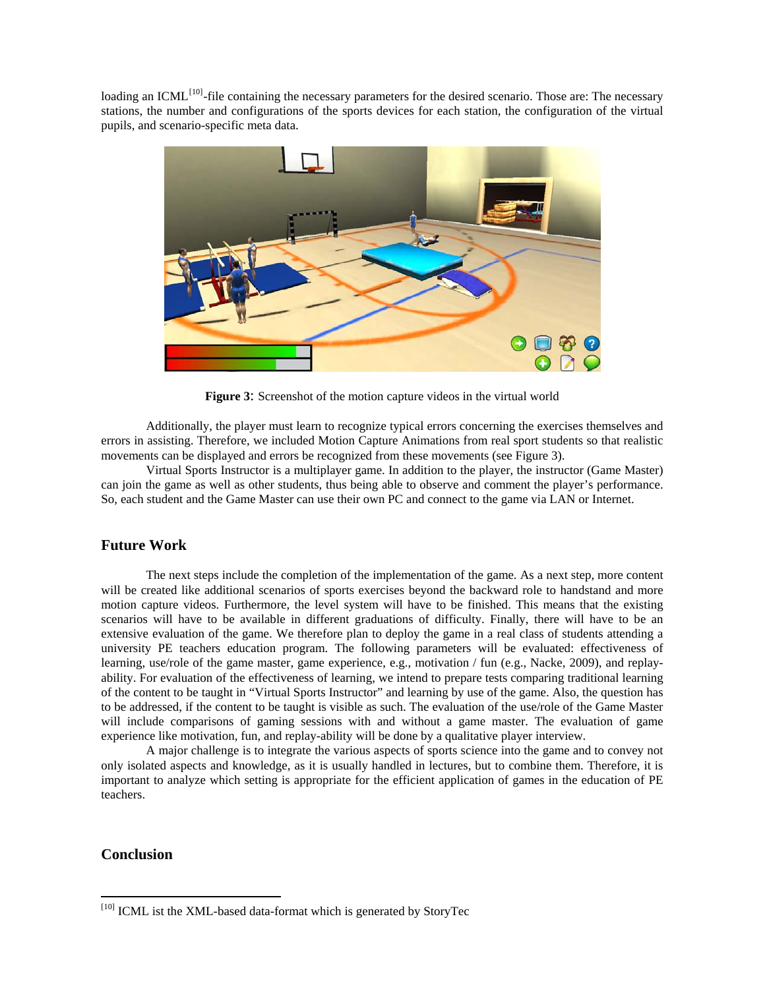loading an ICML<sup>[\[10\]](#page-7-0)</sup>-file containing the necessary parameters for the desired scenario. Those are: The necessary stations, the number and configurations of the sports devices for each station, the configuration of the virtual pupils, and scenario-specific meta data.



**Figure 3**: Screenshot of the motion capture videos in the virtual world

Additionally, the player must learn to recognize typical errors concerning the exercises themselves and errors in assisting. Therefore, we included Motion Capture Animations from real sport students so that realistic movements can be displayed and errors be recognized from these movements (see Figure 3).

Virtual Sports Instructor is a multiplayer game. In addition to the player, the instructor (Game Master) can join the game as well as other students, thus being able to observe and comment the player's performance. So, each student and the Game Master can use their own PC and connect to the game via LAN or Internet.

# **Future Work**

The next steps include the completion of the implementation of the game. As a next step, more content will be created like additional scenarios of sports exercises beyond the backward role to handstand and more motion capture videos. Furthermore, the level system will have to be finished. This means that the existing scenarios will have to be available in different graduations of difficulty. Finally, there will have to be an extensive evaluation of the game. We therefore plan to deploy the game in a real class of students attending a university PE teachers education program. The following parameters will be evaluated: effectiveness of learning, use/role of the game master, game experience, e.g., motivation / fun (e.g., Nacke, 2009), and replayability. For evaluation of the effectiveness of learning, we intend to prepare tests comparing traditional learning of the content to be taught in "Virtual Sports Instructor" and learning by use of the game. Also, the question has to be addressed, if the content to be taught is visible as such. The evaluation of the use/role of the Game Master will include comparisons of gaming sessions with and without a game master. The evaluation of game experience like motivation, fun, and replay-ability will be done by a qualitative player interview.

 A major challenge is to integrate the various aspects of sports science into the game and to convey not only isolated aspects and knowledge, as it is usually handled in lectures, but to combine them. Therefore, it is important to analyze which setting is appropriate for the efficient application of games in the education of PE teachers.

# **Conclusion**

 $\overline{a}$ 

<span id="page-7-0"></span><sup>[10]</sup> ICML ist the XML-based data-format which is generated by StoryTec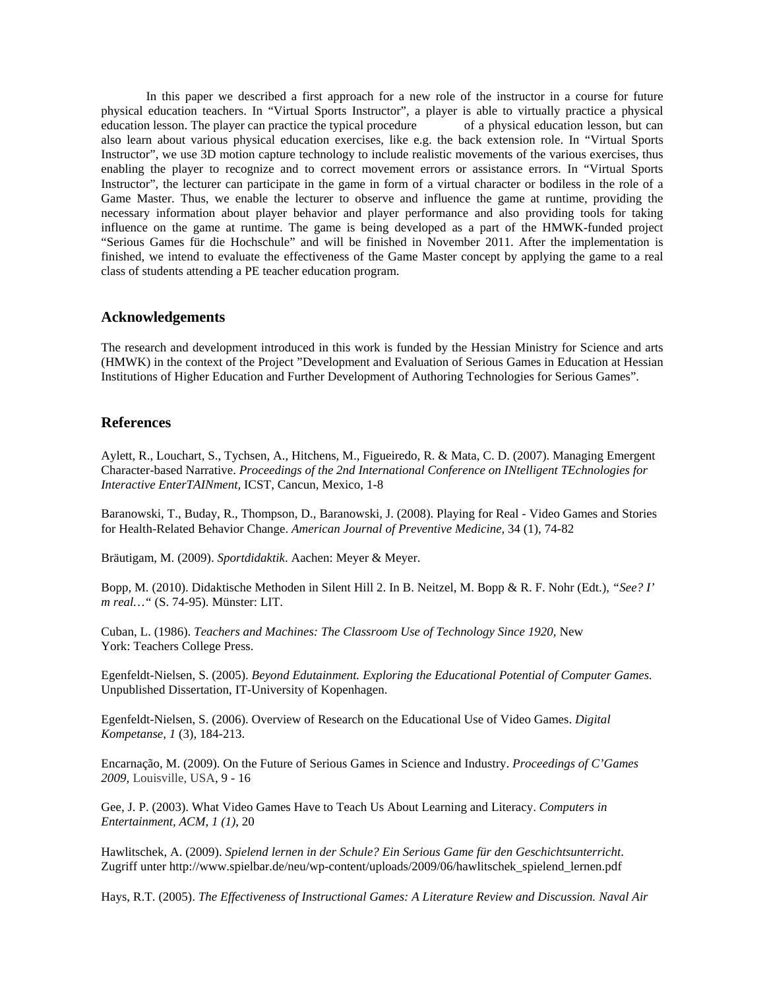In this paper we described a first approach for a new role of the instructor in a course for future physical education teachers. In "Virtual Sports Instructor", a player is able to virtually practice a physical education lesson. The player can practice the typical procedure of a physical education lesson, but can also learn about various physical education exercises, like e.g. the back extension role. In "Virtual Sports Instructor", we use 3D motion capture technology to include realistic movements of the various exercises, thus enabling the player to recognize and to correct movement errors or assistance errors. In "Virtual Sports Instructor", the lecturer can participate in the game in form of a virtual character or bodiless in the role of a Game Master. Thus, we enable the lecturer to observe and influence the game at runtime, providing the necessary information about player behavior and player performance and also providing tools for taking influence on the game at runtime. The game is being developed as a part of the HMWK-funded project "Serious Games für die Hochschule" and will be finished in November 2011. After the implementation is finished, we intend to evaluate the effectiveness of the Game Master concept by applying the game to a real class of students attending a PE teacher education program.

## **Acknowledgements**

The research and development introduced in this work is funded by the Hessian Ministry for Science and arts (HMWK) in the context of the Project "Development and Evaluation of Serious Games in Education at Hessian Institutions of Higher Education and Further Development of Authoring Technologies for Serious Games".

## **References**

Aylett, R., Louchart, S., Tychsen, A., Hitchens, M., Figueiredo, R. & Mata, C. D. (2007). Managing Emergent Character-based Narrative. *Proceedings of the 2nd International Conference on INtelligent TEchnologies for Interactive EnterTAINment,* ICST, Cancun, Mexico, 1-8

Baranowski, T., Buday, R., Thompson, D., Baranowski, J. (2008). Playing for Real - Video Games and Stories for Health-Related Behavior Change. *American Journal of Preventive Medicine*, 34 (1), 74-82

Bräutigam, M. (2009). *Sportdidaktik*. Aachen: Meyer & Meyer.

Bopp, M. (2010). Didaktische Methoden in Silent Hill 2. In B. Neitzel, M. Bopp & R. F. Nohr (Edt.), *"See? I' m real…"* (S. 74-95). Münster: LIT.

Cuban, L. (1986). *Teachers and Machines: The Classroom Use of Technology Since 1920,* New York: Teachers College Press.

Egenfeldt-Nielsen, S. (2005). *Beyond Edutainment. Exploring the Educational Potential of Computer Games.* Unpublished Dissertation, IT-University of Kopenhagen.

Egenfeldt-Nielsen, S. (2006). Overview of Research on the Educational Use of Video Games. *Digital Kompetanse, 1* (3), 184-213.

Encarnação, M. (2009). On the Future of Serious Games in Science and Industry. *Proceedings of C'Games 2009,* Louisville, USA, 9 - 16

Gee, J. P. (2003). What Video Games Have to Teach Us About Learning and Literacy. *Computers in Entertainment, ACM, 1 (1)*, 20

Hawlitschek, A. (2009). *Spielend lernen in der Schule? Ein Serious Game für den Geschichtsunterricht*. Zugriff unter http://www.spielbar.de/neu/wp-content/uploads/2009/06/hawlitschek\_spielend\_lernen.pdf

Hays, R.T. (2005). *The Effectiveness of Instructional Games: A Literature Review and Discussion. Naval Air*